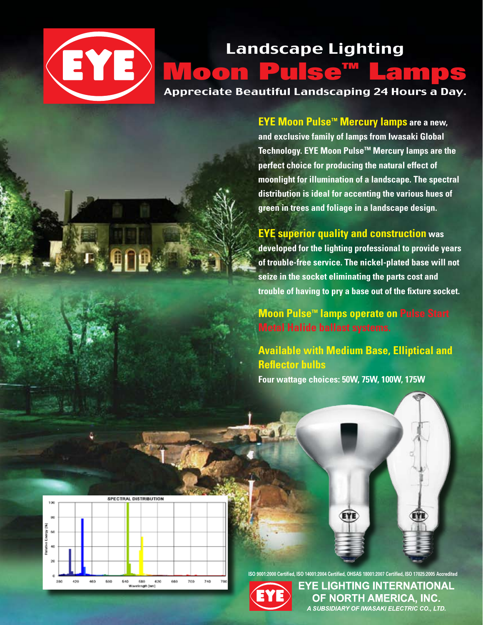## Landscape Lighting EYE Moon Pulse™ Lamps Appreciate Beautiful Landscaping 24 Hours a Day.

**EYE Moon Pulse™ Mercury lamps are a new, and exclusive family of lamps from Iwasaki Global Technology. EYE Moon Pulse™ Mercury lamps are the perfect choice for producing the natural effect of moonlight for illumination of a landscape. The spectral distribution is ideal for accenting the various hues of green in trees and foliage in a landscape design.**

**EYE superior quality and construction was**

**developed for the lighting professional to provide years of trouble-free service. The nickel-plated base will not seize in the socket eliminating the parts cost and trouble of having to pry a base out of the fixture socket.**

**Moon Pulse™ lamps operate on Pulse Start Metal Halide ballast systems.**

**Available with Medium Base, Elliptical and Reflector bulbs Four wattage choices: 50W, 75W, 100W, 175W**



**ISO 9001:2000 Certified, ISO 14001:2004 Certified, OHSAS 18001:2007 Certified, ISO 17025:2005 Accredited**

EYE



EYE LIGHTING INTERNATIONAL OF NORTH AMERICA. INC. .<br>A SUBSIDIARY OF IWASAKI ELECTRIC CO., LTD.